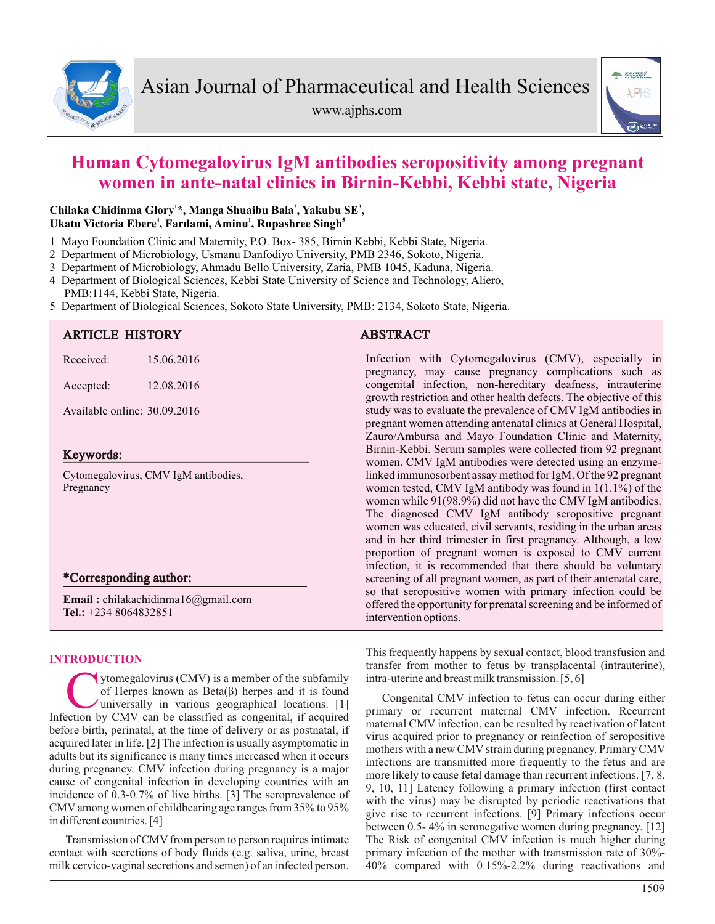

www.ajphs.com



# **Human Cytomegalovirus IgM antibodies seropositivity among pregnant women in ante-natal clinics in Birnin-Kebbi, Kebbi state, Nigeria**

# **<sup>1</sup> <sup>2</sup> <sup>3</sup> Chilaka Chidinma Glory \*, Manga Shuaibu Bala , Yakubu SE , <sup>4</sup> <sup>1</sup> <sup>5</sup> Ukatu Victoria Ebere , Fardami, Aminu , Rupashree Singh**

- 1 Mayo Foundation Clinic and Maternity, P.O. Box- 385, Birnin Kebbi, Kebbi State, Nigeria.
- 2 Department of Microbiology, Usmanu Danfodiyo University, PMB 2346, Sokoto, Nigeria.
- 3 Department of Microbiology, Ahmadu Bello University, Zaria, PMB 1045, Kaduna, Nigeria.
- 4 Department of Biological Sciences, Kebbi State University of Science and Technology, Aliero, PMB:1144, Kebbi State, Nigeria.
- 5 Department of Biological Sciences, Sokoto State University, PMB: 2134, Sokoto State, Nigeria.

# ARTICLE HISTORY ABSTRACT

| Received: | 15.06.2016 |
|-----------|------------|
|           |            |

Accepted: 12.08.2016

Available online: 30.09.2016

# Keywords:

Cytomegalovirus, CMV IgM antibodies, Pregnancy

# \*Corresponding author:

**Email :** chilakachidinma16@gmail.com **Tel.:** +234 8064832851

# **INTRODUCTION**

The Universally is a member of the subfamily<br>
Infection by CMV can be classified as congenital, if acquired<br>
Infection by CMV can be classified as congenital, if acquired ytomegalovirus (CMV) is a member of the subfamily of Herpes known as Beta(β) herpes and it is found universally in various geographical locations. [1] before birth, perinatal, at the time of delivery or as postnatal, if acquired later in life. [2] The infection is usually asymptomatic in adults but its significance is many times increased when it occurs during pregnancy. CMV infection during pregnancy is a major cause of congenital infection in developing countries with an incidence of 0.3-0.7% of live births. [3] The seroprevalence of CMVamong women of childbearing age ranges from 35% to 95% in different countries. [4]

Transmission of CMV from person to person requires intimate contact with secretions of body fluids (e.g. saliva, urine, breast milk cervico-vaginal secretions and semen) of an infected person.

Infection with Cytomegalovirus (CMV), especially in pregnancy, may cause pregnancy complications such as congenital infection, non-hereditary deafness, intrauterine growth restriction and other health defects. The objective of this study was to evaluate the prevalence of CMV IgM antibodies in pregnant women attending antenatal clinics at General Hospital, Zauro/Ambursa and Mayo Foundation Clinic and Maternity, Birnin-Kebbi. Serum samples were collected from 92 pregnant women. CMV IgM antibodies were detected using an enzymelinked immunosorbent assay method for IgM. Of the 92 pregnant women tested, CMV IgM antibody was found in 1(1.1%) of the women while 91(98.9%) did not have the CMV IgM antibodies. The diagnosed CMV IgM antibody seropositive pregnant women was educated, civil servants, residing in the urban areas and in her third trimester in first pregnancy. Although, a low proportion of pregnant women is exposed to CMV current infection, it is recommended that there should be voluntary screening of all pregnant women, as part of their antenatal care, so that seropositive women with primary infection could be offered the opportunity for prenatal screening and be informed of intervention options.

This frequently happens by sexual contact, blood transfusion and transfer from mother to fetus by transplacental (intrauterine), intra-uterine and breast milk transmission. [5, 6]

Congenital CMV infection to fetus can occur during either primary or recurrent maternal CMV infection. Recurrent maternal CMV infection, can be resulted by reactivation of latent virus acquired prior to pregnancy or reinfection of seropositive mothers with a new CMV strain during pregnancy. Primary CMV infections are transmitted more frequently to the fetus and are more likely to cause fetal damage than recurrent infections. [7, 8, 9, 10, 11] Latency following a primary infection (first contact with the virus) may be disrupted by periodic reactivations that give rise to recurrent infections. [9] Primary infections occur between 0.5- 4% in seronegative women during pregnancy. [12] The Risk of congenital CMV infection is much higher during primary infection of the mother with transmission rate of 30%- 40% compared with 0.15%-2.2% during reactivations and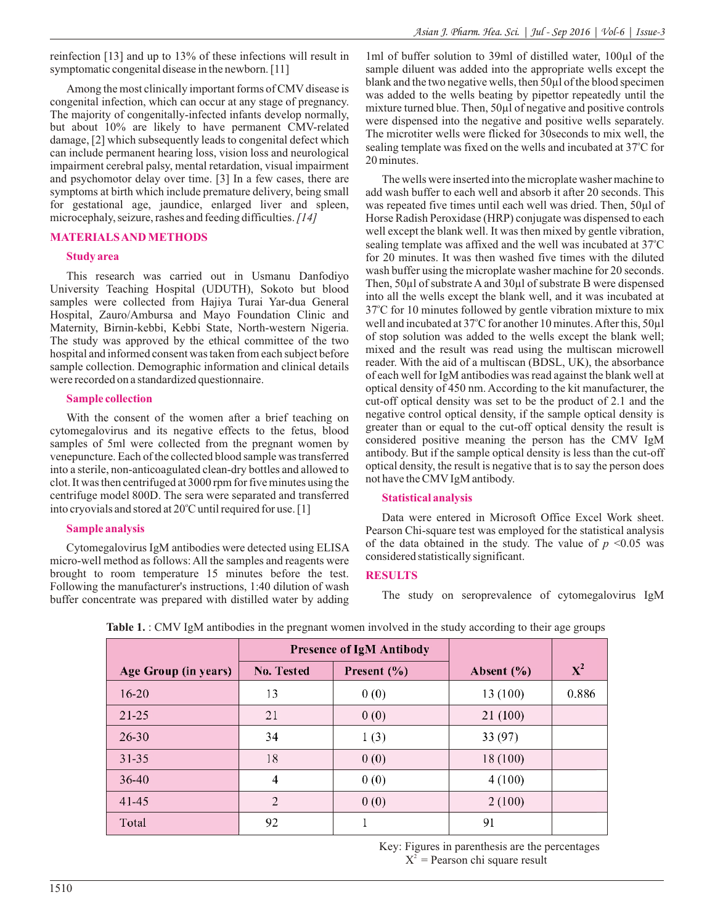reinfection [13] and up to 13% of these infections will result in symptomatic congenital disease in the newborn. [11]

Among the most clinically important forms of CMV disease is congenital infection, which can occur at any stage of pregnancy. The majority of congenitally-infected infants develop normally, but about 10% are likely to have permanent CMV-related damage, [2] which subsequently leads to congenital defect which can include permanent hearing loss, vision loss and neurological impairment cerebral palsy, mental retardation, visual impairment and psychomotor delay over time. [3] In a few cases, there are symptoms at birth which include premature delivery, being small for gestational age, jaundice, enlarged liver and spleen, microcephaly, seizure, rashes and feeding difficulties.*[14]*

#### **MATERIALS AND METHODS**

#### **Study area**

This research was carried out in Usmanu Danfodiyo University Teaching Hospital (UDUTH), Sokoto but blood samples were collected from Hajiya Turai Yar-dua General Hospital, Zauro/Ambursa and Mayo Foundation Clinic and Maternity, Birnin-kebbi, Kebbi State, North-western Nigeria. The study was approved by the ethical committee of the two hospital and informed consent was taken from each subject before sample collection. Demographic information and clinical details were recorded on a standardized questionnaire.

#### **Sample collection**

With the consent of the women after a brief teaching on cytomegalovirus and its negative effects to the fetus, blood samples of 5ml were collected from the pregnant women by venepuncture. Each of the collected blood sample was transferred into a sterile, non-anticoagulated clean-dry bottles and allowed to clot. It was then centrifuged at 3000 rpm for five minutes using the centrifuge model 800D. The sera were separated and transferred into cryovials and stored at 20°C until required for use. [1]

### **Sample analysis**

Cytomegalovirus IgM antibodies were detected using ELISA micro-well method as follows: All the samples and reagents were brought to room temperature 15 minutes before the test. Following the manufacturer's instructions, 1:40 dilution of wash buffer concentrate was prepared with distilled water by adding

1ml of buffer solution to 39ml of distilled water, 100µl of the sample diluent was added into the appropriate wells except the blank and the two negative wells, then 50µl of the blood specimen was added to the wells beating by pipettor repeatedly until the mixture turned blue. Then, 50µl of negative and positive controls were dispensed into the negative and positive wells separately. The microtiter wells were flicked for 30seconds to mix well, the sealing template was fixed on the wells and incubated at 37°C for 20 minutes.

The wells were inserted into the microplate washer machine to add wash buffer to each well and absorb it after 20 seconds. This was repeated five times until each well was dried. Then, 50µl of Horse Radish Peroxidase (HRP) conjugate was dispensed to each well except the blank well. It was then mixed by gentle vibration, sealing template was affixed and the well was incubated at 37°C for 20 minutes. It was then washed five times with the diluted wash buffer using the microplate washer machine for 20 seconds. Then, 50µl of substrate Aand 30µl of substrate B were dispensed into all the wells except the blank well, and it was incubated at 37°C for 10 minutes followed by gentle vibration mixture to mix well and incubated at 37°C for another 10 minutes. After this, 50µl of stop solution was added to the wells except the blank well; mixed and the result was read using the multiscan microwell reader. With the aid of a multiscan (BDSL, UK), the absorbance of each well for IgM antibodies was read against the blank well at optical density of 450 nm. According to the kit manufacturer, the cut-off optical density was set to be the product of 2.1 and the negative control optical density, if the sample optical density is greater than or equal to the cut-off optical density the result is considered positive meaning the person has the CMV IgM antibody. But if the sample optical density is less than the cut-off optical density, the result is negative that is to say the person does not have the CMVIgM antibody.

#### **Statistical analysis**

Data were entered in Microsoft Office Excel Work sheet. Pearson Chi-square test was employed for the statistical analysis of the data obtained in the study. The value of  $p \leq 0.05$  was considered statistically significant.

### **RESULTS**

The study on seroprevalence of cytomegalovirus IgM

|                      | <b>Presence of IgM Antibody</b> |                 |                |                |
|----------------------|---------------------------------|-----------------|----------------|----------------|
| Age Group (in years) | No. Tested                      | Present $(\% )$ | Absent $(\% )$ | $\mathbf{X}^2$ |
| $16 - 20$            | 13                              | 0(0)            | 13 (100)       | 0.886          |
| $21 - 25$            | 21                              | 0(0)            | 21(100)        |                |
| $26 - 30$            | 34                              | 1(3)            | 33 (97)        |                |
| $31 - 35$            | 18                              | 0(0)            | 18 (100)       |                |
| $36-40$              | 4                               | 0(0)            | 4(100)         |                |
| 41-45                | $\mathfrak{D}$                  | 0(0)            | 2(100)         |                |
| Total                | 92                              |                 | 91             |                |

**Table 1.** : CMV IgM antibodies in the pregnant women involved in the study according to their age groups

Key: Figures in parenthesis are the percentages  $X^2$  = Pearson chi square result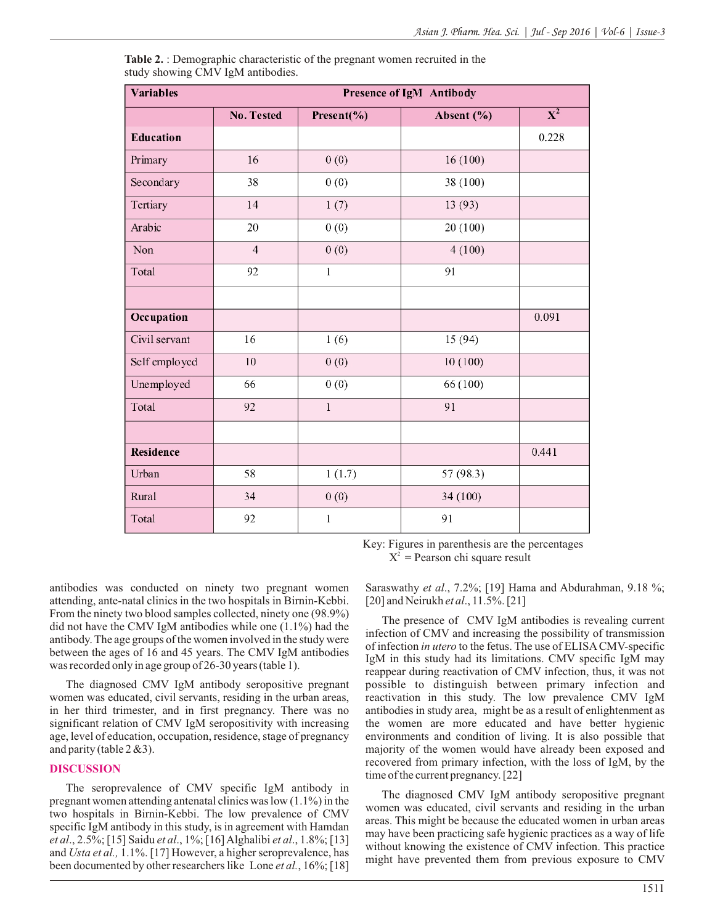| <b>Variables</b> | Presence of IgM Antibody |              |            |                           |
|------------------|--------------------------|--------------|------------|---------------------------|
|                  | No. Tested               | Present(%)   | Absent (%) | $\overline{\textbf{X}^2}$ |
| <b>Education</b> |                          |              |            | 0.228                     |
| Primary          | 16                       | 0(0)         | 16(100)    |                           |
| Secondary        | 38                       | 0(0)         | 38 (100)   |                           |
| Tertiary         | 14                       | 1(7)         | 13(93)     |                           |
| Arabic           | 20                       | 0(0)         | 20 (100)   |                           |
| Non              | $\overline{4}$           | 0(0)         | 4(100)     |                           |
| Total            | 92                       | $\,1$        | 91         |                           |
|                  |                          |              |            |                           |
| Occupation       |                          |              |            | 0.091                     |
| Civil servant    | 16                       | 1(6)         | 15 (94)    |                           |
| Self employed    | 10                       | 0(0)         | 10(100)    |                           |
| Unemployed       | 66                       | 0(0)         | 66 (100)   |                           |
| Total            | 92                       | $\mathbf{1}$ | 91         |                           |
|                  |                          |              |            |                           |
| Residence        |                          |              |            | 0.441                     |
| Urban            | 58                       | 1(1.7)       | 57 (98.3)  |                           |
| Rural            | 34                       | 0(0)         | 34 (100)   |                           |
| Total            | 92                       | $\mathbf{1}$ | 91         |                           |

**Table 2.** : Demographic characteristic of the pregnant women recruited in the study showing CMV IgM antibodies.

> Key: Figures in parenthesis are the percentages  $X^2$  = Pearson chi square result

antibodies was conducted on ninety two pregnant women attending, ante-natal clinics in the two hospitals in Birnin-Kebbi. From the ninety two blood samples collected, ninety one (98.9%) did not have the CMV IgM antibodies while one (1.1%) had the antibody. The age groups of the women involved in the study were between the ages of 16 and 45 years. The CMV IgM antibodies was recorded only in age group of 26-30 years (table 1).

The diagnosed CMV IgM antibody seropositive pregnant women was educated, civil servants, residing in the urban areas, in her third trimester, and in first pregnancy. There was no significant relation of CMV IgM seropositivity with increasing age, level of education, occupation, residence, stage of pregnancy and parity (table  $2 \& 3$ ).

### **DISCUSSION**

The seroprevalence of CMV specific IgM antibody in pregnant women attending antenatal clinics was low (1.1%) in the two hospitals in Birnin-Kebbi. The low prevalence of CMV specific IgM antibody in this study, is in agreement with Hamdan *et al*., 2.5%; [15] Saidu *et al*., 1%; [16] Alghalibi *et al*., 1.8%; [13] and *Usta et al.,* 1.1%. [17] However, a higher seroprevalence, has been documented by other researchers like Lone *et al.*, 16%; [18] Saraswathy *et al*., 7.2%; [19] Hama and Abdurahman, 9.18 %; [20] and Neirukh *et al*., 11.5%. [21]

The presence of CMV IgM antibodies is revealing current infection of CMV and increasing the possibility of transmission of infection *in utero* to the fetus. The use of ELISACMV-specific IgM in this study had its limitations. CMV specific IgM may reappear during reactivation of CMV infection, thus, it was not possible to distinguish between primary infection and reactivation in this study. The low prevalence CMV IgM antibodies in study area, might be as a result of enlightenment as the women are more educated and have better hygienic environments and condition of living. It is also possible that majority of the women would have already been exposed and recovered from primary infection, with the loss of IgM, by the time of the current pregnancy. [22]

The diagnosed CMV IgM antibody seropositive pregnant women was educated, civil servants and residing in the urban areas. This might be because the educated women in urban areas may have been practicing safe hygienic practices as a way of life without knowing the existence of CMV infection. This practice might have prevented them from previous exposure to CMV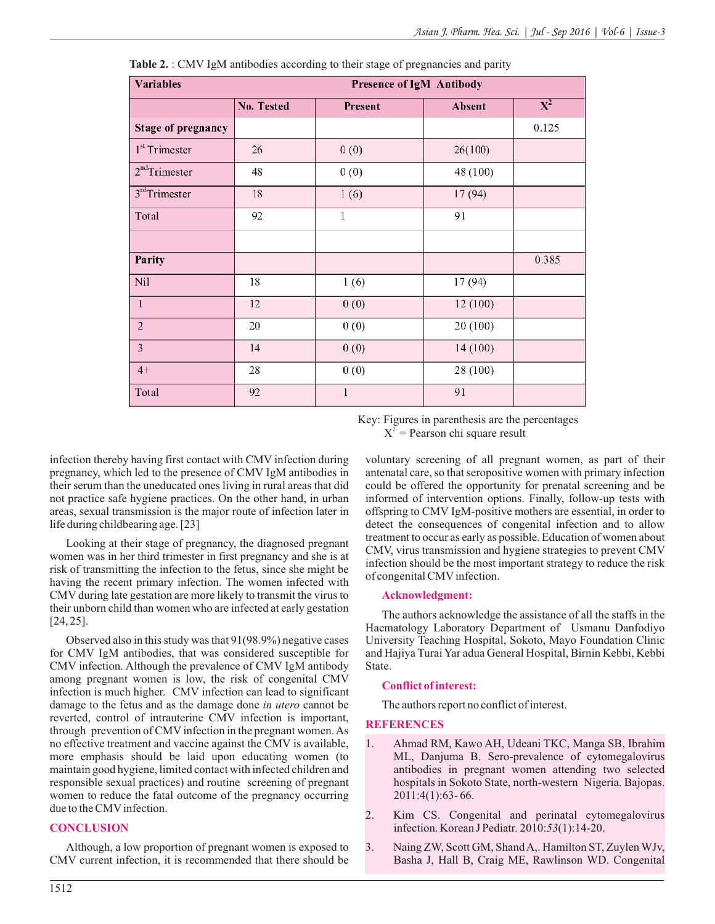| <b>Variables</b>          | Presence of IgM Antibody |              |          |                  |
|---------------------------|--------------------------|--------------|----------|------------------|
|                           | No. Tested               | Present      | Absent   | $\overline{X^2}$ |
| Stage of pregnancy        |                          |              |          | 0.125            |
| 1 <sup>st</sup> Trimester | 26                       | 0(0)         | 26(100)  |                  |
| $2nd$ Trimester           | 48                       | 0(0)         | 48 (100) |                  |
| 3 <sup>rd</sup> Trimester | 18                       | 1(6)         | 17(94)   |                  |
| Total                     | 92                       | $\mathbf{1}$ | 91       |                  |
|                           |                          |              |          |                  |
| Parity                    |                          |              |          | 0.385            |
| Nil                       | 18                       | 1(6)         | 17 (94)  |                  |
| $\,1\,$                   | 12                       | 0(0)         | 12(100)  |                  |
| $\overline{2}$            | 20                       | 0(0)         | 20(100)  |                  |
| 3                         | 14                       | 0(0)         | 14 (100) |                  |
| $4+$                      | 28                       | 0(0)         | 28 (100) |                  |
| Total                     | 92                       | $\mathbf{1}$ | 91       |                  |

**Table 2.** : CMV IgM antibodies according to their stage of pregnancies and parity

Key: Figures in parenthesis are the percentages  $X^2$  = Pearson chi square result

infection thereby having first contact with CMV infection during pregnancy, which led to the presence of CMV IgM antibodies in their serum than the uneducated ones living in rural areas that did not practice safe hygiene practices. On the other hand, in urban areas, sexual transmission is the major route of infection later in life during childbearing age. [23]

Looking at their stage of pregnancy, the diagnosed pregnant women was in her third trimester in first pregnancy and she is at risk of transmitting the infection to the fetus, since she might be having the recent primary infection. The women infected with CMV during late gestation are more likely to transmit the virus to their unborn child than women who are infected at early gestation [24, 25].

Observed also in this study was that 91(98.9%) negative cases for CMV IgM antibodies, that was considered susceptible for CMV infection. Although the prevalence of CMV IgM antibody among pregnant women is low, the risk of congenital CMV infection is much higher. CMV infection can lead to significant damage to the fetus and as the damage done *in utero* cannot be reverted, control of intrauterine CMV infection is important, through prevention of CMV infection in the pregnant women. As no effective treatment and vaccine against the CMV is available, more emphasis should be laid upon educating women (to maintain good hygiene, limited contact with infected children and responsible sexual practices) and routine screening of pregnant women to reduce the fatal outcome of the pregnancy occurring due to the CMV infection.

# **CONCLUSION**

Although, a low proportion of pregnant women is exposed to CMV current infection, it is recommended that there should be

voluntary screening of all pregnant women, as part of their antenatal care, so that seropositive women with primary infection could be offered the opportunity for prenatal screening and be informed of intervention options. Finally, follow-up tests with offspring to CMV IgM-positive mothers are essential, in order to detect the consequences of congenital infection and to allow treatment to occur as early as possible. Education of women about CMV, virus transmission and hygiene strategies to prevent CMV infection should be the most important strategy to reduce the risk of congenital CMV infection.

### **Acknowledgment:**

The authors acknowledge the assistance of all the staffs in the Haematology Laboratory Department of Usmanu Danfodiyo University Teaching Hospital, Sokoto, Mayo Foundation Clinic and Hajiya Turai Yar adua General Hospital, Birnin Kebbi, Kebbi State.

### **Conflict of interest:**

The authors report no conflict of interest.

# **REFERENCES**

- 1. Ahmad RM, Kawo AH, Udeani TKC, Manga SB, Ibrahim ML, Danjuma B. Sero-prevalence of cytomegalovirus antibodies in pregnant women attending two selected hospitals in Sokoto State, north-western Nigeria. Bajopas. 2011:4(1):63- 66.
- 2. Kim CS. Congenital and perinatal cytomegalovirus infection. Korean J Pediatr*.* 2010:*53*(1):14-20.
- 3. Naing ZW, Scott GM, Shand A,. Hamilton ST, Zuylen WJv, Basha J, Hall B, Craig ME, Rawlinson WD. Congenital